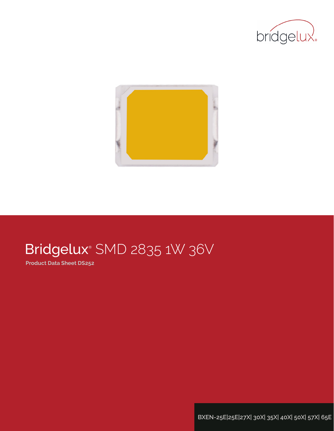



# Bridgelux® SMD 2835 1W 36V

**Product Data Sheet DS252**

**BXEN-25E|25E|27X| 30X| 35X| 40X| 50X| 57X| 65E**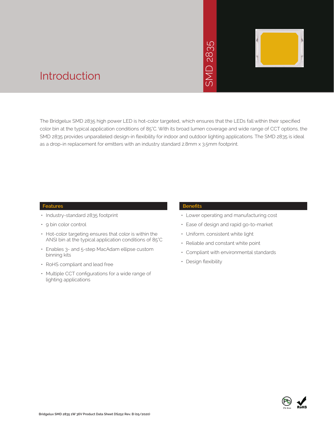# 2835  $\overline{\bigcap}$ JINS



### Introduction

The Bridgelux SMD 2835 high power LED is hot-color targeted, which ensures that the LEDs fall within their specified color bin at the typical application conditions of 85°C. With its broad lumen coverage and wide range of CCT options, the SMD 2835 provides unparalleled design-in flexibility for indoor and outdoor lighting applications. The SMD 2835 is ideal as a drop-in replacement for emitters with an industry standard 2.8mm x 3.5mm footprint. • Manuscript<br>
Which ensures that<br>
boad lumen coverage<br>
and outdoor lighting<br>
2.8mm x 3.5mm for<br>
Benefits<br>
• Lower operating<br>
• Ease of design a<br>
• Uniform, consiste<br>
• Reliable and con<br>
• Compliant with e<br>
• Design flexibi

#### **Features**

- Industry-standard 2835 footprint
- 9 bin color control
- Hot-color targeting ensures that color is within the ANSI bin at the typical application conditions of 85°C
- Enables 3- and 5-step MacAdam ellipse custom binning kits
- RoHS compliant and lead free
- Multiple CCT configurations for a wide range of lighting applications

#### **Benefits**

- Lower operating and manufacturing cost
- Ease of design and rapid go-to-market
- Uniform, consistent white light
- Reliable and constant white point
- Compliant with environmental standards
- · Design flexibility

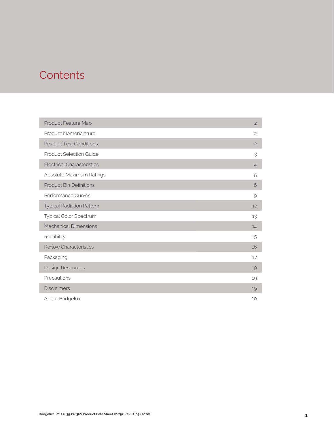### **Contents**

| Product Feature Map               | $\overline{c}$ |
|-----------------------------------|----------------|
| Product Nomenclature              | $\overline{c}$ |
| <b>Product Test Conditions</b>    | $\overline{c}$ |
| <b>Product Selection Guide</b>    | 3              |
| <b>Electrical Characteristics</b> | $\overline{4}$ |
| Absolute Maximum Ratings          | 5              |
| <b>Product Bin Definitions</b>    | 6              |
| Performance Curves                | 9              |
| <b>Typical Radiation Pattern</b>  | 12             |
| Typical Color Spectrum            | 13             |
| <b>Mechanical Dimensions</b>      | 14             |
| Reliability                       | 15             |
| <b>Reflow Characteristics</b>     | 16             |
| Packaging                         | 17             |
| Design Resources                  | 19             |
| Precautions                       | 19             |
| <b>Disclaimers</b>                | 19             |
| About Bridgelux                   | 20             |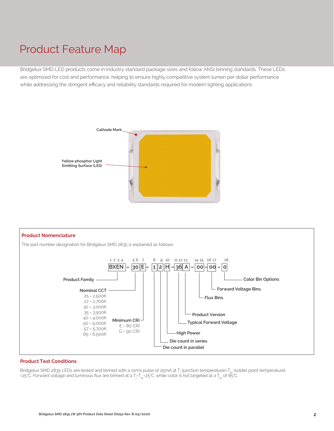### Product Feature Map

Bridgelux SMD LED products come in industry standard package sizes and follow ANSI binning standards. These LEDs are optimized for cost and performance, helping to ensure highly competitive system lumen per dollar performance while addressing the stringent efficacy and reliability standards required for modern lighting applications.





#### **Product Test Conditions**

Bridgelux SMD 2835 LEDs are tested and binned with a 10ms pulse of 25mA at T<sub>j</sub> (junction temperature)=T<sub>sp</sub> (solder point temperature) =25°C. Forward voltage and luminous flux are binned at a T<sub>j</sub>-T<sub>sp</sub>=25°C, while color is hot targeted at a T<sub>sp</sub> of 85°C.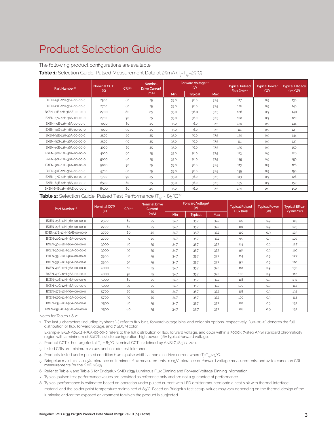### Product Selection Guide

The following product configurations are available:

**Table 1:** Selection Guide, Pulsed Measurement Data at 25mA (T<sub>j</sub>=T<sub>sp</sub>=25°C)

| Part Number <sup>1,6</sup> | Nominal CCT <sup>2</sup><br>(K) | CR13.5 | <b>Nominal</b><br><b>Drive Current</b> |      | Forward Voltage <sup>4.5</sup><br>(V) |            | <b>Typical Pulsed</b><br>Flux (lm)4.5 | <b>Typical Power</b><br>(W) | <b>Typical Efficacy</b><br>$\langle \text{Im}/\text{W} \rangle$ |
|----------------------------|---------------------------------|--------|----------------------------------------|------|---------------------------------------|------------|---------------------------------------|-----------------------------|-----------------------------------------------------------------|
|                            |                                 |        | (mA)                                   | Min  | <b>Typical</b>                        | <b>Max</b> |                                       |                             |                                                                 |
| BXEN-25E-12H-36A-00-00-0   | 2500                            | 80     | 25                                     | 35.0 | 36.0                                  | 37.5       | 117                                   | 0.9                         | 130                                                             |
| BXEN-27E-12H-36A-00-00-0   | 2700                            | 80     | 25                                     | 35.0 | 36.0                                  | 37.5       | 126                                   | 0.9                         | 140                                                             |
| BXEN-27E-12H-36AE-00-00-0  | 2700                            | 80     | 25                                     | 35.0 | 36.0                                  | 37.5       | 126                                   | 0.9                         | 140                                                             |
| BXEN-27G-12H-36A-00-00-0   | 2700                            | 90     | 25                                     | 35.0 | 36.0                                  | 37.5       | 108                                   | 0.9                         | 120                                                             |
| BXEN-30E-12H-36A-00-00-0   | 3000                            | 80     | 25                                     | 35.0 | 36.0                                  | 37.5       | 130                                   | 0.9                         | 144                                                             |
| BXEN-30G-12H-36A-00-00-0   | 3000                            | 90     | 25                                     | 35.0 | 36.0                                  | 37.5       | 111                                   | 0.9                         | 123                                                             |
| BXEN-35E-12H-36A-00-00-0   | 3500                            | 80     | 25                                     | 35.0 | 36.0                                  | 37.5       | 130                                   | 0.9                         | 144                                                             |
| BXEN-35G-12H-36A-00-00-0   | 3500                            | 90     | 25                                     | 35.0 | 36.0                                  | 37.5       | 111                                   | 0.9                         | 123                                                             |
| BXEN-40E-12H-36A-00-00-0   | 4000                            | 80     | 25                                     | 35.0 | 36.0                                  | 37.5       | 135                                   | 0.9                         | 150                                                             |
| BXEN-40G-12H-36A-00-00-0   | 4000                            | 90     | 25                                     | 35.0 | 36.0                                  | 37.5       | 113                                   | 0.9                         | 126                                                             |
| BXEN-50E-12H-36A-00-00-0   | 5000                            | 80     | 25                                     | 35.0 | 36.0                                  | 37.5       | 135                                   | 0.9                         | 150                                                             |
| BXEN-50G-12H-36A-00-00-0   | 5000                            | 90     | 25                                     | 35.0 | 36.0                                  | 37.5       | 113                                   | 0.9                         | 126                                                             |
| BXEN-57E-12H-36A-00-00-0   | 5700                            | 80     | 25                                     | 35.0 | 36.0                                  | 37.5       | 135                                   | 0.9                         | 150                                                             |
| BXEN-57G-12H-36A-00-00-0   | 5700                            | 90     | 25                                     | 35.0 | 36.0                                  | 37.5       | 113                                   | 0.9                         | 126                                                             |
| BXEN-65E-12H-36A-00-00-0   | 6500                            | 80     | 25                                     | 35.0 | 36.0                                  | 37.5       | 135                                   | 0.9                         | 150                                                             |
| BXEN-65E-12H-36AE-00-00-0  | 6500                            | 80     | 25                                     | 35.0 | 36.0                                  | 37.5       | 135                                   | 0.9                         | 150                                                             |

**Table 2:** Selection Guide, Pulsed Test Performance (T<sub>sp</sub> = 85°C)<sup>7,8</sup>

| Part Number <sup>1,6</sup> | <b>Nominal Drive</b><br>Nominal CCT <sup>2</sup><br>CRI3.5<br>Current<br>(K) |    |      |      |                | Forward Voltage <sup>5</sup> | <b>Typical Pulsed</b>  | <b>Typical Power</b> | <b>Typical Effica-</b> |
|----------------------------|------------------------------------------------------------------------------|----|------|------|----------------|------------------------------|------------------------|----------------------|------------------------|
|                            |                                                                              |    | (mA) | Min  | <b>Typical</b> | <b>Max</b>                   | Flux (lm) <sup>5</sup> | (W)                  | cy (lm/W)              |
| BXEN-25E-12H-36A-00-00-0   | 2500                                                                         | 80 | 25   | 34.7 | 35.7           | 37.2                         | 102                    | 0.9                  | 115                    |
| BXEN-27E-12H-36A-00-00-0   | 2700                                                                         | 80 | 25   | 34.7 | 35.7           | 37.2                         | 110                    | 0.9                  | 123                    |
| BXEN-27E-12H-36AE-00-00-0  | 2700                                                                         | 80 | 25   | 34.7 | 35.7           | 37.2                         | 110                    | 0.9                  | 123                    |
| BXEN-27G-12H-36A-00-00-0   | 2700                                                                         | 90 | 25   | 34.7 | 35.7           | 37.2                         | 95                     | 0.9                  | 107                    |
| BXEN-30E-12H-36A-00-00-0   | 3000                                                                         | 80 | 25   | 34.7 | 35.7           | 37.2                         | 114                    | 0.9                  | 127                    |
| BXEN-30G-12H-36A-00-00-0   | 3000                                                                         | 90 | 25   | 34.7 | 35.7           | 37.2                         | 98                     | 0.9                  | 110                    |
| BXEN-35E-12H-36A-00-00-0   | 3500                                                                         | 80 | 25   | 34.7 | 35.7           | 37.2                         | 114                    | 0.9                  | 127                    |
| BXEN-35G-12H-36A-00-00-0   | 3500                                                                         | 90 | 25   | 34.7 | 35.7           | 37.2                         | 98                     | 0.9                  | 110                    |
| BXEN-40E-12H-36A-00-00-0   | 4000                                                                         | 80 | 25   | 34.7 | 35.7           | 37.2                         | 118                    | 0.9                  | 132                    |
| BXEN-40G-12H-36A-00-00-0   | 4000                                                                         | 90 | 25   | 34.7 | 35.7           | 37.2                         | 100                    | 0.9                  | 112                    |
| BXEN-50E-12H-36A-00-00-0   | 5000                                                                         | 80 | 25   | 34.7 | 35.7           | 37.2                         | 118                    | 0.9                  | 132                    |
| BXEN-50G-12H-36A-00-00-0   | 5000                                                                         | 90 | 25   | 34.7 | 35.7           | 37.2                         | 100                    | 0.9                  | 112                    |
| BXEN-57E-12H-36A-00-00-0   | 5700                                                                         | 80 | 25   | 34.7 | 35.7           | 37.2                         | 118                    | 0.9                  | 132                    |
| BXEN-57G-12H-36A-00-00-0   | 5700                                                                         | 90 | 25   | 34.7 | 35.7           | 37.2                         | 100                    | 0.9                  | 112                    |
| BXEN-65E-12H-36A-00-00-0   | 6500                                                                         | 80 | 25   | 34.7 | 35.7           | 37.2                         | 118                    | 0.9                  | 132                    |
| BXEN-65E-12H-36AE-00-00-0  | 6500                                                                         | 80 | 25   | 34.7 | 35.7           | 37.2                         | 118                    | 0.9                  | 132                    |

Notes for Tables 1 & 2:

1. The last 7 characters (including hyphens '-') refer to flux bins, forward voltage bins, and color bin options, respectively. "00-00-0" denotes the full distribution of flux, forward voltage, and 7 SDCM color.

 Example: BXEN-30E-12H-36A-00-00-0 refers to the full distribution of flux, forward voltage, and color within a 3000K 7-step ANSI standard chromaticity region with a minimum of 80CRI, 1x2 die configuration, high power, 36V typical forward voltage.

2. Product CCT is hot targeted at  $T_{\rm so}$  = 85°C. Nominal CCT as defined by ANSI C78.377-2011.

3. Listed CRIs are minimum values and include test tolerance.

4. Products tested under pulsed condition (10ms pulse width) at nominal drive current where T<sub>j</sub>=T<sub>sp</sub>=25°C.

5. Bridgelux maintains a ±7.5% tolerance on luminous flux measurements, ±0.15V tolerance on forward voltage measurements, and ±2 tolerance on CRI measurements for the SMD 2835.

6. Refer to Table 5 and Table 6 for Bridgelux SMD 2835 Luminous Flux Binning and Forward Voltage Binning information.

7. Typical pulsed test performance values are provided as reference only and are not a guarantee of performance.

8. Typical performance is estimated based on operation under pulsed current with LED emitter mounted onto a heat sink with thermal interface material and the solder point temperature maintained at 85°C. Based on Bridgelux test setup, values may vary depending on the thermal design of the luminaire and/or the exposed environment to which the product is subjected.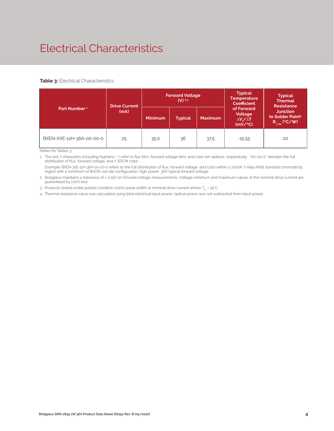# Electrical Characteristics

#### **Table 3: Electrical Characteristics**

|                          | <b>Drive Current</b> |                | <b>Forward Voltage</b><br>$(V)$ <sup>2.3</sup> |                | <b>Typical</b><br><b>Temperature</b><br><b>Coefficient</b>  | <b>Typical</b><br><b>Thermal</b><br><b>Resistance</b>                |
|--------------------------|----------------------|----------------|------------------------------------------------|----------------|-------------------------------------------------------------|----------------------------------------------------------------------|
| Part Number <sup>1</sup> | (mA)                 | <b>Minimum</b> | <b>Typical</b>                                 | <b>Maximum</b> | of Forward<br>Voltage<br>$\Delta V \sim \Delta T$<br>(mV/C) | <b>Junction</b><br>to Solder Point <sup>4</sup><br>$R_{j-sp}$ (°C/W) |
| BXEN-XXE-12H-36A-00-00-0 | 25                   | 35.0           | 36                                             | 37.5           | $-15.55$                                                    | 20                                                                   |

Notes for Tables 3:

1. The last 7 characters (including hyphens '-') refer to flux bins, forward voltage bins, and color bin options, respectively. "00-00-0" denotes the full distribution of flux, forward voltage, and 7 SDCM color.

 Example: BXEN-30E-12H-36A-00-00-0 refers to the full distribution of flux, forward voltage, and color within a 3000K 7-step ANSI standard chromaticity region with a minimum of 80CRI, 1x2 die configuration, high power, 36V typical forward voltage.

2. Bridgelux maintains a tolerance of ± 0.15V on forward voltage measurements. Voltage minimum and maximum values at the nominal drive current are guaranteed by 100% test.

3. Products tested under pulsed condition (10ms pulse width) at nominal drive current where  $T_{\rm{sp}}$  = 25°C.

4. Thermal resistance value was calculated using total electrical input power; optical power was not subtracted from input power.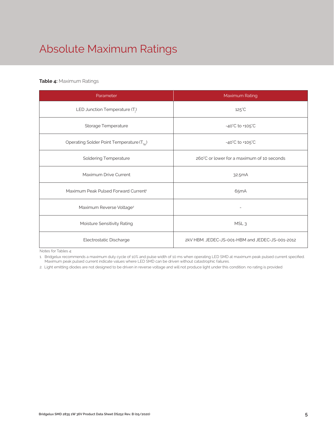# Absolute Maximum Ratings

#### **Table 4:** Maximum Ratings

| Parameter                                             | Maximum Rating                                  |  |  |  |
|-------------------------------------------------------|-------------------------------------------------|--|--|--|
| LED Junction Temperature $(T_i)$                      | $125^{\circ}$ C                                 |  |  |  |
| Storage Temperature                                   | $-40^{\circ}$ C to $+105^{\circ}$ C             |  |  |  |
| Operating Solder Point Temperature (T <sub>Sp</sub> ) | $-40^{\circ}$ C to $+105^{\circ}$ C             |  |  |  |
| <b>Soldering Temperature</b>                          | 260°C or lower for a maximum of 10 seconds      |  |  |  |
| Maximum Drive Current                                 | 32.5mA                                          |  |  |  |
| Maximum Peak Pulsed Forward Current <sup>1</sup>      | 65mA                                            |  |  |  |
| Maximum Reverse Voltage <sup>2</sup>                  | $\overline{a}$                                  |  |  |  |
| Moisture Sensitivity Rating                           | MSL <sub>3</sub>                                |  |  |  |
| Electrostatic Discharge                               | 2kV HBM. JEDEC-JS-001-HBM and JEDEC-JS-001-2012 |  |  |  |

Notes for Tables 4:

1. Bridgelux recommends a maximum duty cycle of 10% and pulse width of 10 ms when operating LED SMD at maximum peak pulsed current specified. Maximum peak pulsed current indicate values where LED SMD can be driven without catastrophic failures.

2. Light emitting diodes are not designed to be driven in reverse voltage and will not produce light under this condition. no rating is provided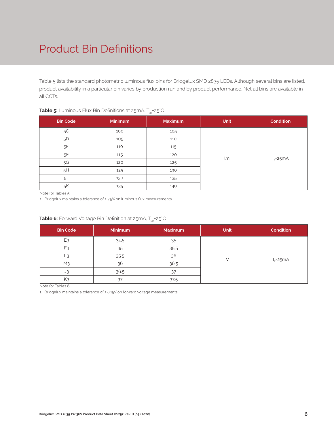# Product Bin Definitions

Table 5 lists the standard photometric luminous flux bins for Bridgelux SMD 2835 LEDs. Although several bins are listed, product availability in a particular bin varies by production run and by product performance. Not all bins are available in all CCTs.

|                 |                | - Pr           |             |                  |
|-----------------|----------------|----------------|-------------|------------------|
| <b>Bin Code</b> | <b>Minimum</b> | <b>Maximum</b> | <b>Unit</b> | <b>Condition</b> |
| $5\mathrm{C}$   | 100            | 105            |             |                  |
| 5D              | 105            | 110            |             |                  |
| 5E              | 110            | 115            |             |                  |
| 5F              | 115            | 120            | lm          |                  |
| $5G$            | 120            | 125            |             | $I_F = 25mA$     |
| 5H              | 125            | 130            |             |                  |
| 5J              | 130            | 135            |             |                  |
| 5K              | 135            | 140            |             |                  |

#### **Table 5:** Luminous Flux Bin Definitions at 25mA, T<sub>sp</sub>=25°C

Note for Tables 5:

1. Bridgelux maintains a tolerance of ± 7.5% on luminous flux measurements.

| <b>Bin Code</b> | <b>Minimum</b> | <b>Maximum</b> | <b>Unit</b> | <b>Condition</b> |
|-----------------|----------------|----------------|-------------|------------------|
| E <sub>3</sub>  | 34.5           | 35             |             |                  |
| F3              | 35             | 35.5           |             |                  |
| ാ               | 35.5           | 36             |             | $I_F = 25mA$     |
| M <sub>3</sub>  | 36             | 36.5           |             |                  |
| JЗ              | 36.5           | 37             |             |                  |
| K               | 37             | 37.5           |             |                  |

#### **Table 6:** Forward Voltage Bin Definition at 25mA, T<sub>sp</sub>=25°C

Note for Tables 6:

1. Bridgelux maintains a tolerance of ± 0.15V on forward voltage measurements.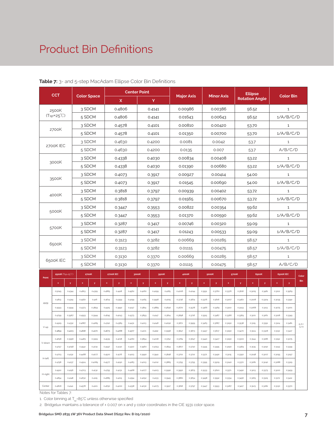### Product Bin Definitions

|         | <b>CCT</b>                |                            |                    |                  |                           |                  |                   | <b>Center Point</b> |              |                    |                   |           |                |                   | <b>Ellipse</b>            |        | <b>Color Bin</b>      |        |                |              |              |  |
|---------|---------------------------|----------------------------|--------------------|------------------|---------------------------|------------------|-------------------|---------------------|--------------|--------------------|-------------------|-----------|----------------|-------------------|---------------------------|--------|-----------------------|--------|----------------|--------------|--------------|--|
|         |                           |                            | <b>Color Space</b> |                  |                           | X                |                   |                     | Y            |                    | <b>Major Axis</b> |           |                | <b>Minor Axis</b> |                           |        | <b>Rotation Angle</b> |        |                |              |              |  |
|         | 2500K                     |                            | 3 SDCM             |                  |                           | 0.4806           |                   |                     | 0.4141       |                    |                   | 0.00986   |                | 0.00386           |                           |        | 56.52                 |        |                | $1\,$        |              |  |
|         | $(Tsp=25^{\circ}C)$       |                            | 5 SDCM             |                  |                           | 0.4806           |                   |                     | 0.4141       |                    |                   | 0.01643   |                | 0.00643           |                           |        | 56.52                 |        |                | 1/A/B/C/D    |              |  |
|         |                           |                            |                    | 3 SDCM<br>0.4578 |                           |                  | 0.00810<br>0.4101 |                     |              | 0.00420<br>53.70   |                   |           |                | $\mathbf{1}$      |                           |        |                       |        |                |              |              |  |
|         | 2700K                     |                            | 5 SDCM             |                  |                           | 0.4578           |                   |                     | 0.4101       |                    |                   | 0.01350   |                | 0.00700           |                           |        | 53.70                 |        |                | 1/A/B/C/D    |              |  |
|         |                           |                            | 3 SDCM             |                  |                           | 0.4630           |                   |                     | 0.4200       |                    |                   | 0.0081    |                | 0.0042            |                           |        | 53.7                  |        |                | $1\,$        |              |  |
|         | 2700K IEC                 |                            | 5 SDCM             |                  |                           | 0.4630           |                   |                     | 0.4200       |                    |                   | 0.0135    |                | 0.007             |                           |        | 53.7                  |        |                | A/B/C/D      |              |  |
|         |                           |                            | 3 SDCM             |                  |                           | 0.4338           |                   |                     | 0.4030       |                    |                   | 0.00834   |                | 0.00408           |                           |        | 53.22                 |        |                | $\mathbf{1}$ |              |  |
|         | 3000K                     |                            | 5 SDCM             |                  |                           | 0.4338           |                   |                     | 0.4030       |                    |                   | 0.01390   |                | 0.00680           |                           |        | 53.22                 |        |                | 1/A/B/C/D    |              |  |
|         |                           |                            | 3 SDCM             |                  |                           | 0.4073           |                   |                     | 0.3917       |                    |                   | 0.00927   |                | 0.00414           |                           |        | 54.00                 |        |                | $\mathbf{1}$ |              |  |
|         | 3500K                     |                            | 5 SDCM             |                  |                           | 0.4073           |                   |                     | 0.3917       |                    |                   | 0.01545   |                | 0.00690           |                           |        | 54.00                 |        |                | 1/A/B/C/D    |              |  |
|         |                           |                            | 3 SDCM             |                  |                           | 0.3818           |                   |                     | 0.3797       |                    |                   | 0.00939   |                | 0.00402           |                           |        | 53.72                 |        |                | $\mathbf{1}$ |              |  |
|         | 4000K                     |                            | 5 SDCM             |                  |                           | 0.3818           |                   |                     | 0.3797       |                    |                   | 0.01565   |                | 0.00670           |                           |        | 53.72                 |        |                | 1/A/B/C/D    |              |  |
|         |                           |                            | 3 SDCM             |                  |                           | 0.3447           |                   |                     | 0.3553       |                    |                   | 0.00822   |                | 0.00354           |                           |        | 59.62                 |        |                | $\mathbf{1}$ |              |  |
|         | 5000K                     | 5 SDCM<br>0.3447<br>0.3553 |                    |                  | 0.01370                   |                  | 0.00590           |                     |              | 59.62              |                   | 1/A/B/C/D |                |                   |                           |        |                       |        |                |              |              |  |
|         | 3 SDCM                    |                            |                    |                  | 0.3287                    |                  | 0.3417            |                     |              | 0.00746<br>0.00320 |                   | 59.09     |                | $\mathbf{1}$      |                           |        |                       |        |                |              |              |  |
|         | 5700K<br>5 SDCM<br>0.3287 |                            | 0.3417<br>0.01243  |                  |                           | 0.00533<br>59.09 |                   |                     | 1/A/B/C/D    |                    |                   |           |                |                   |                           |        |                       |        |                |              |              |  |
|         |                           |                            | 3 SDCM<br>6500K    |                  |                           |                  | 0.3123            |                     | 0.3282       |                    |                   |           | 0.00669        |                   | 0.00285                   |        |                       | 58.57  |                |              | $\mathbf{1}$ |  |
|         |                           |                            | 5 SDCM             |                  |                           | 0.3123           |                   |                     | 0.3282       |                    |                   | 0.01115   |                | 0.00475           |                           | 58.57  |                       |        | 1/A/B/C/D      |              |              |  |
|         | 3 SDCM<br>6500K IEC       |                            |                    | 0.3130           |                           |                  | 0.3370            |                     |              | 0.00669            |                   | 0.00285   |                |                   | 58.57                     |        |                       | $1\,$  |                |              |              |  |
|         |                           |                            | 5 SDCM             |                  |                           | 0.3130           |                   |                     | 0.3370       |                    |                   | 0.01115   |                | 0.00475           |                           |        | 58.57                 |        |                | A/B/C/D      |              |  |
|         |                           | 2500K (Tsp-25°C)           |                    | 2700K            | 2700K IEC                 |                  |                   | 3000K               |              | 3500K              |                   | 4000K     |                | 5000K             |                           | 5700K  | 6500K                 |        | 6500K IEC      |              | Color        |  |
| Point   | $\pmb{\times}$            | y                          | $\pmb{\times}$     | y                | $\boldsymbol{\mathsf{x}}$ | y                | $\pmb{\times}$    | y                   | $\mathbf{x}$ | y                  | $\pmb{\times}$    | y         | $\pmb{\times}$ | y                 | $\boldsymbol{\mathsf{x}}$ | y      | $\pmb{\mathsf{x}}$    | y.     | $\pmb{\times}$ | y            | <b>Bin</b>   |  |
|         | 0.5045                    | 0.4344                     | 0.4813             | 0.4319           | 0.4865                    | 0.4418           | 0.4562            | 0.4260              | 0.4299       | 0.4165             | 0.4006            | 0.4044    | 0.3551         | 0.3760            | 0.3376                    | 0.3616 | 0.3205                | 0.3481 | 0.3212         | 0.3569       |              |  |
|         | 0.4813                    | 0.4319                     | 0.4562             | 0.426            | 0.4614                    | 0.4359           | 0.4299            | 0.4165              | 0.3996       | 0.4015             | 0.3736            | 0.3874    | 0.3376         | 0.3616            | 0.3207                    | 0.3462 | 0.3028                | 0.3304 | 0.3035         | 0.3392       |              |  |
| ANSI    | 0.4593                    | 0.3944                     | 0.4373             | 0.3893           | 0.4425                    | 0.3992           | 0.4147            | 0.3814              | 0.3889       | 0.3690             | 0.3670            | 0.3578    | 0.3366         | 0.3369            | 0.3222                    | 0.3243 | 0.3068                | 0.3113 | 0.3075         | 0.3201       |              |  |
|         | 0.4799                    | 0.3967                     | 0.4593             | 0.3944           | 0.4645                    | 0.4043           | 0.4373            | 0.3893              | 0.4147       | 0.3814             | 0.3898            | 0.3716    | 0.3515         | 0.3487            | 0.3366                    | 0.3369 | 0.3221                | 0.3261 | 0.3228         | 0.3349       |              |  |
|         | 0.4929                    | 0.4332                     | 0.4687             | 0.4289           | 0.4740                    | 0.4389           | 0.4431            | 0.4213              | 0.4148       | 0.4090             | 0.3871            | 0.3959    | 0.3463         | 0.3687            | 0.3290                    | 0.3538 | 0.3115                | 0.3391 | 0.3124         | 0.3481       | E/F/<br>G/H  |  |
| V-up    | 0.4859                    | 0.4223                     | 0.4618             | 0.4170           | 0.4673                    | 0.4268           | 0.4377            | 0.4101              | 0.4112       | 0.3996             | 0.3847            | 0.3873    | 0.3457         | 0.3617            | 0.3290                    | 0.3470 | 0.3124                | 0.3328 | 0.3132         | 0.3417       |              |  |
| V-down  | 0.4696                    | 0.3956                     | 0.4483             | 0.3919           | 0.4535                    | 0.4018           | 0.4260            | 0.3854              | 0.4018       | 0.3752             | 0.3784            | 0.3647    | 0.3440         | 0.3427            | 0.3290                    | 0.3300 | 0.3144                | 0.3186 | 0.3152         | 0.3275       |              |  |
|         | 0.4757                    | 0.4058                     | 0.4542             | 0.4031           | 0.4597                    | 0.4130           | 0.4310            | 0.3960              | 0.4053       | 0.3844             | 0.3807            | 0.3730    | 0.3445         | 0.3495            | 0.3290                    | 0.3369 | 0.3135                | 0.3250 | 0.3143         | 0.3339       |              |  |
| H-left  | 0.4703                    | 0.4132                     | 0.4468             | 0.4077           | 0.4520                    | 0.4176           | 0.4223            | 0.3990              | 0.3941       | 0.3848             | 0.3702            | 0.3722    | 0.3371         | 0.3490            | 0.3215                    | 0.3350 | 0.3048                | 0.3207 | 0.3055         | 0.3297       |              |  |
|         | 0.4758                    | 0.4137                     | 0.4524             | 0.4089           | 0.4577                    | 0.4190           | 0.4283            | 0.4013              | 0.4012       | 0.3885             | 0.3755            | 0.3755    | 0.3395         | 0.3509            | 0.3240                    | 0.3372 | 0.3081                | 0.3240 | 0.3088         | 0.3329       |              |  |
| H-right | 0.4922                    | 0.4156                     | 0.4703             | 0.4132           | 0.4755                    | 0.4231           | 0.4468            | 0.4077              | 0.4223       | 0.3990             | 0.3950            | 0.3875    | 0.3533         | 0.3620            | 0.3371                    | 0.3490 | 0.3213                | 0.3373 | 0.3220         | 0.3459       |              |  |
|         | 0.4854                    | 0.4148                     | 0.4632             | 0.4115           | 0.4685                    | 0.4215           | 0.4394            | 0.4052              | 0.4133       | 0.3945             | 0.3880            | 0.3834    | 0.3498         | 0.3592            | 0.3334                    | 0.3456 | 0.3165                | 0.3325 | 0.3172         | 0.3412       |              |  |
| Center  | 0.4806                    | 0.4141                     | 0.4578             | 0.4101           | 0.4630                    | 0.4200           | 0.4338            | 0.4030              | 0.4073       | 0.3917             | 0.3818            | 0.3797    | 0.3447         | 0.3553            | 0.3287                    | 0.3417 | 0.3123                | 0.3282 | 0.3130         | 0.3370       |              |  |

#### **Table 7:** 3- and 5-step MacAdam Ellipse Color Bin Definitions

Notes for Tables 7:

1. Color binning at  $T_{\rm ss}$ =85°C unless otherwise specified

2. Bridgelux maintains a tolerance of ± 0.007 on x and y color coordinates in the CIE 1931 color space.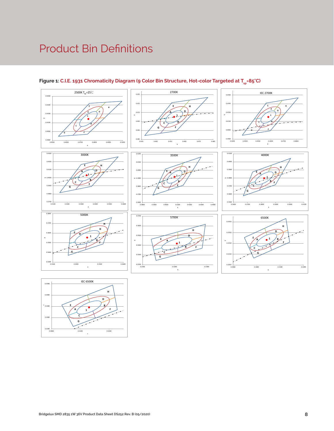## Product Bin Definitions



#### Figure 1: C.I.E. 1931 Chromaticity Diagram (9 Color Bin Structure, Hot-color Targeted at T<sub>sp</sub>=85°C)

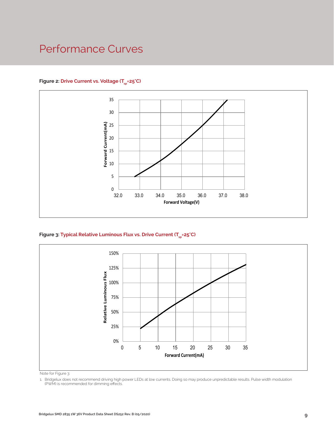### Performance Curves

#### Figure 2: Drive Current vs. Voltage (T<sub>SD</sub>=25°C)



Figure 3: Typical Relative Luminous Flux vs. Drive Current (T<sub>sp</sub>=25°C)



Note for Figure 3:

1. Bridgelux does not recommend driving high power LEDs at low currents. Doing so may produce unpredictable results. Pulse width modulation (PWM) is recommended for dimming effects.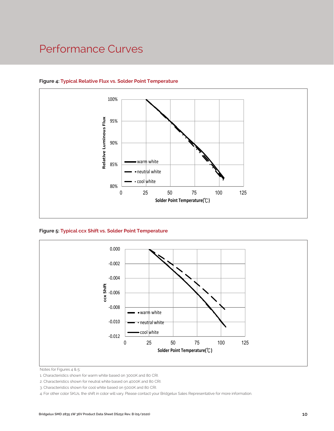### Performance Curves



#### **Figure 4: Typical Relative Flux vs. Solder Point Temperature**

**Figure 5: Typical ccx Shift vs. Solder Point Temperature**



Notes for Figures 4 & 5:

1. Characteristics shown for warm white based on 3000K and 80 CRI.

2. Characteristics shown for neutral white based on 4000K and 80 CRI.

4. For other color SKUs, the shift in color will vary. Please contact your Bridgelux Sales Representative for more information.

<sup>3.</sup> Characteristics shown for cool white based on 5000K and 80 CRI.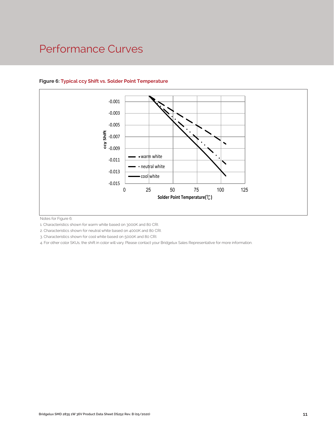### Performance Curves



#### **Figure 6: Typical ccy Shift vs. Solder Point Temperature**

Notes for Figure 6:

1. Characteristics shown for warm white based on 3000K and 80 CRI.

2. Characteristics shown for neutral white based on 4000K and 80 CRI.

3. Characteristics shown for cool white based on 5000K and 80 CRI.

4. For other color SKUs, the shift in color will vary. Please contact your Bridgelux Sales Representative for more information.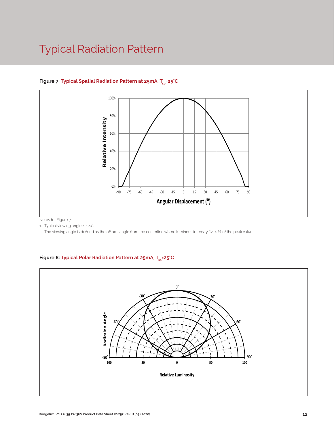### Typical Radiation Pattern



#### Figure 7: Typical Spatial Radiation Pattern at 25mA, T<sub>sp</sub>=25°C

Notes for Figure 7:

1. Typical viewing angle is 120°.

2. The viewing angle is defined as the off axis angle from the centerline where luminous intensity (Iv) is ½ of the peak value.

#### Figure 8: Typical Polar Radiation Pattern at 25mA, T<sub>sp</sub>=25°C

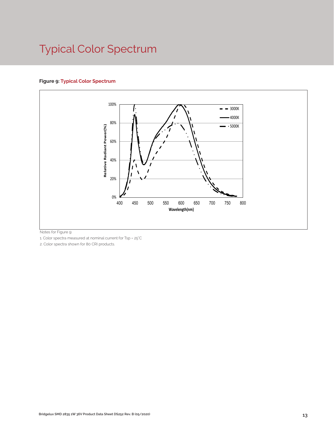# Typical Color Spectrum

#### **Figure 9: Typical Color Spectrum**



Notes for Figure 9:

1. Color spectra measured at nominal current for Tsp = 25°C

2. Color spectra shown for 80 CRI products.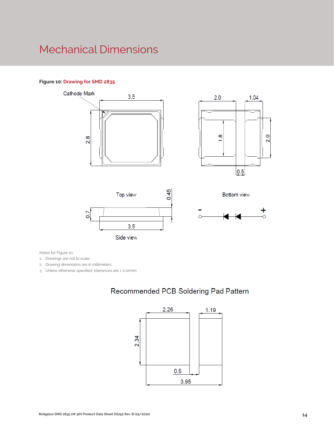### Mechanical Dimensions

#### **Figure 10: Drawing for SMD 2835**











Notes for Figure 10:

1. Drawings are not to scale.

- 2. Drawing dimensions are in millimeters.
- 3. Unless otherwise specified, tolerances are ± 0.10mm.

#### Recommended PCB Soldering Pad Pattern

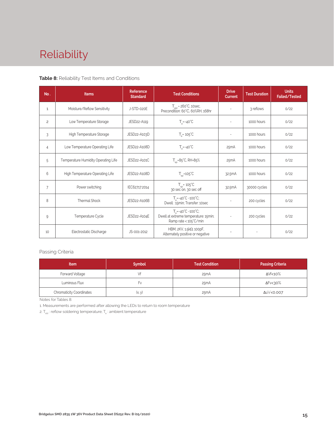# Reliability

#### **Table 8:** Reliability Test Items and Conditions

| No.            | <b>Items</b>                        | <b>Reference</b><br><b>Standard</b> | <b>Test Conditions</b>                                                                                 | <b>Drive</b><br><b>Current</b> | <b>Test Duration</b> | <b>Units</b><br>Failed/Tested |
|----------------|-------------------------------------|-------------------------------------|--------------------------------------------------------------------------------------------------------|--------------------------------|----------------------|-------------------------------|
| 1              | Moisture/Reflow Sensitivity         | J-STD-020E                          | $T_{\text{cld}}$ = 260°C, 10sec,<br>Precondition: 60°C, 60%RH, 168hr                                   | $\sim$                         | 3 reflows            | 0/22                          |
| $\overline{c}$ | Low Temperature Storage             | JESD22-A119                         | $T_a = -40^{\circ}C$                                                                                   | $\bar{a}$                      | 1000 hours           | 0/22                          |
| 3              | High Temperature Storage            | JESD22-A103D                        | $T_a = 105^{\circ}C$                                                                                   | $\sim$                         | 1000 hours           | 0/22                          |
| 4              | Low Temperature Operating Life      | JESD22-A108D                        | $T_s = -40^{\circ}C$                                                                                   | 25mA                           | 1000 hours           | 0/22                          |
| 5              | Temperature Humidity Operating Life | JESD22-A101C                        | $T_{SD} = 85^{\circ}$ C, RH=85%                                                                        | 25mA                           | 1000 hours           | 0/22                          |
| 6              | High Temperature Operating Life     | JESD22-A108D                        | $T_{\rm sn}$ =105°C                                                                                    | 32.5mA                         | 1000 hours           | 0/22                          |
| $\overline{7}$ | Power switching                     | IEC62717:2014                       | $T_{SD} = 105^{\circ}C$<br>30 sec on, 30 sec off                                                       | 32.5mA                         | 30000 cycles         | 0/22                          |
| 8              | <b>Thermal Shock</b>                | JESD22-A106B                        | $T_a = -40^{\circ}C - 100^{\circ}C$ ;<br>Dwell: 15min; Transfer: 10sec                                 | $\sim$                         | 200 cycles           | 0/22                          |
| 9              | Temperature Cycle                   | JESD22-A104E                        | $T_a = -40^{\circ}C - 100^{\circ}C$ ;<br>Dwell at extreme temperature: 15min;<br>Ramp rate < 105°C/min |                                | 200 cycles           | 0/22                          |
| 10             | Electrostatic Discharge             | JS-001-2012                         | HBM, $2KV$ , $1.5k\Omega$ , 100pF,<br>Alternately positive or negative                                 | $\overline{\phantom{a}}$       |                      | 0/22                          |

#### Passing Criteria

| <b>Item</b>                     | <b>Symbol</b> | <b>Test Condition</b> | <b>Passing Criteria</b> |
|---------------------------------|---------------|-----------------------|-------------------------|
| Forward Voltage                 |               | 25mA                  | ΔVf<10%                 |
| Luminous Flux                   | ۲v            | 25mA                  | ΔFν<30%                 |
| <b>Chromaticity Coordinates</b> | (x, y)        | 25mA                  | Δu'v'<0.007             |

Notes for Tables 8:

1. Measurements are performed after allowing the LEDs to return to room temperature

2.  $T_{\scriptscriptstyle \rm std}$  : reflow soldering temperature;  $T_{\scriptscriptstyle \rm a}$  : ambient temperature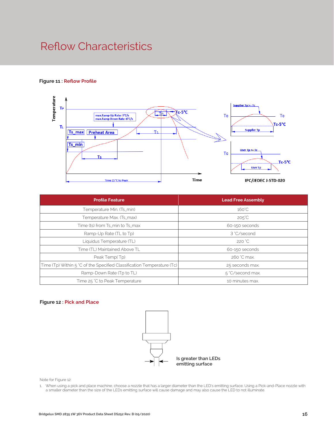### Reflow Characteristics

#### **Figure 11 : Reflow Profile**



| <b>Profile Feature</b>                                                 | <b>Lead Free Assembly</b> |
|------------------------------------------------------------------------|---------------------------|
| Temperature Min. (Ts_min)                                              | $160^{\circ}$ C           |
| Temperature Max. (Ts_max)                                              | $205^{\circ}$ C           |
| Time (ts) from Ts_min to Ts_max                                        | 60-150 seconds            |
| Ramp-Up Rate (TL to Tp)                                                | 3 °C/second               |
| Liquidus Temperature (TL)                                              | 220 °C                    |
| Time (TL) Maintained Above TL                                          | 60-150 seconds            |
| Peak Temp(Tp)                                                          | 260 °C max.               |
| Time (Tp) Within 5 °C of the Specified Classification Temperature (Tc) | 25 seconds max.           |
| Ramp-Down Rate (Tp to TL)                                              | 5 °C/second max.          |
| Time 25 °C to Peak Temperature                                         | 10 minutes max.           |

#### **Figure 12 : Pick and Place**



Note for Figure 12:

1. When using a pick and place machine, choose a nozzle that has a larger diameter than the LED's emitting surface. Using a Pick-and-Place nozzle with a smaller diameter than the size of the LEDs emitting surface will cause damage and may also cause the LED to not illuminate.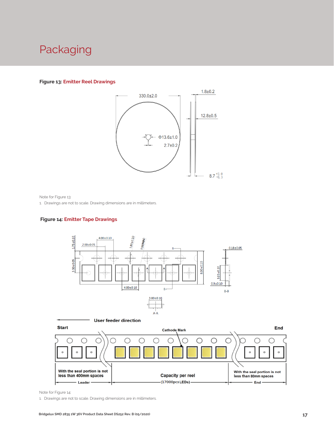### Packaging

#### **Figure 13: Emitter Reel Drawings**



Note for Figure 13:

1. Drawings are not to scale. Drawing dimensions are in millimeters.

#### **Figure 14: Emitter Tape Drawings**





Note for Figure 14:

1. Drawings are not to scale. Drawing dimensions are in millimeters.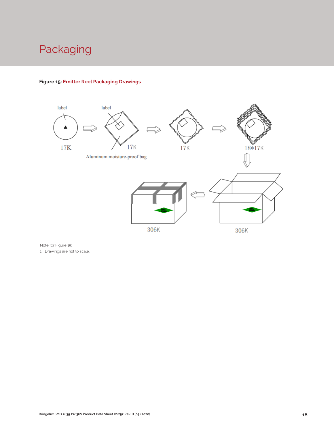# Packaging



#### **Figure 15: Emitter Reel Packaging Drawings**

Note for Figure 15:

1. Drawings are not to scale.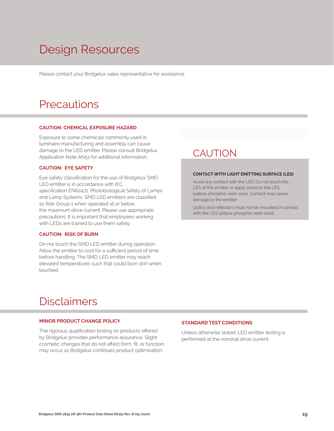# Design Resources

Please contact your Bridgelux sales representative for assistance.

### **Precautions**

#### **CAUTION: CHEMICAL EXPOSURE HAZARD**

Exposure to some chemicals commonly used in luminaire manufacturing and assembly can cause damage to the LED emitter. Please consult Bridgelux Application Note AN51 for additional information.

#### **CAUTION: EYE SAFETY**

Eye safety classification for the use of Bridgelux SMD LED emitter is in accordance with IEC specification EN62471: Photobiological Safety of Lamps and Lamp Systems. SMD LED emitters are classified as Risk Group 1 when operated at or below the maximum drive current. Please use appropriate precautions. It is important that employees working with LEDs are trained to use them safely.

#### **CAUTION: RISK OF BURN**

Do not touch the SMD LED emitter during operation. Allow the emitter to cool for a sufficient period of time before handling. The SMD LED emitter may reach elevated temperatures such that could burn skin when touched.

### **CAUTION**

#### **CONTACT WITH LIGHT EMITTING SURFACE (LES)**

Avoid any contact with the LES. Do not touch the LES of the emitter or apply stress to the LES (yellow phosphor resin area). Contact may cause damage to the emitter

Optics and reflectors must not be mounted in contact with the LES (yellow phosphor resin area).

### Disclaimers

#### **MINOR PRODUCT CHANGE POLICY**

The rigorous qualification testing on products offered by Bridgelux provides performance assurance. Slight cosmetic changes that do not affect form, fit, or function may occur as Bridgelux continues product optimization.

#### **STANDARD TEST CONDITIONS**

Unless otherwise stated, LED emitter testing is performed at the nominal drive current.